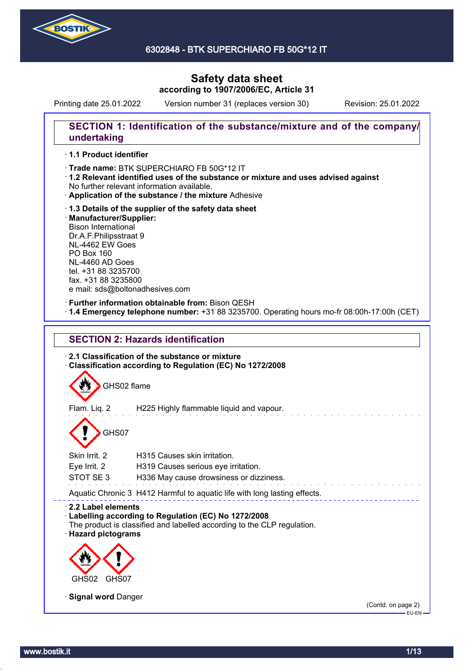

6302848 - BTK SUPERCHIARO FB 50G\*12 IT

# **Safety data sheet according to 1907/2006/EC, Article 31**

Printing date 25.01.2022 Version number 31 (replaces version 30) Revision: 25.01.2022

### **SECTION 1: Identification of the substance/mixture and of the company/ undertaking**

### · **1.1 Product identifier**

· Trade name: BTK SUPERCHIARO FB 50G\*12 IT

- · **1.2 Relevant identified uses of the substance or mixture and uses advised against** No further relevant information available.
- · **Application of the substance / the mixture** Adhesive
- · **1.3 Details of the supplier of the safety data sheet** · **Manufacturer/Supplier:** Bison International Dr.A.F.Philipsstraat 9 NL-4462 EW Goes PO Box 160 NL-4460 AD Goes tel. +31 88 3235700 fax. +31 88 3235800 e mail: sds@boltonadhesives.com

#### · **Further information obtainable from:** Bison QESH

· **1.4 Emergency telephone number:** +31 88 3235700. Operating hours mo-fr 08:00h-17:00h (CET)



Skin Irrit. 2 H315 Causes skin irritation. Eye Irrit. 2 H319 Causes serious eye irritation. STOT SE 3 H336 May cause drowsiness or dizziness.

Aquatic Chronic 3 H412 Harmful to aquatic life with long lasting effects.

# · **2.2 Label elements**

# · **Labelling according to Regulation (EC) No 1272/2008**

The product is classified and labelled according to the CLP regulation. · **Hazard pictograms**



· **Signal word** Danger

(Contd. on page 2) EU-EN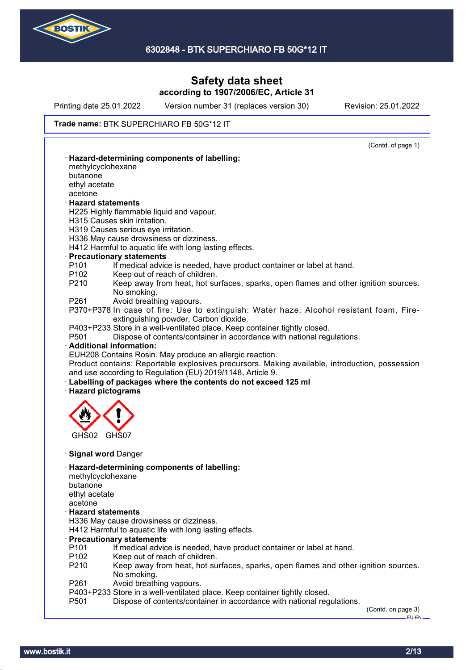

Printing date 25.01.2022 Version number 31 (replaces version 30) Revision: 25.01.2022

#### Trade name: BTK SUPERCHIARO FB 50G\*12 IT

|                          | (Contd. of page 1)                                                                                                                                                                                                                         |
|--------------------------|--------------------------------------------------------------------------------------------------------------------------------------------------------------------------------------------------------------------------------------------|
|                          | · Hazard-determining components of labelling:                                                                                                                                                                                              |
| methylcyclohexane        |                                                                                                                                                                                                                                            |
| butanone                 |                                                                                                                                                                                                                                            |
| ethyl acetate            |                                                                                                                                                                                                                                            |
| acetone                  |                                                                                                                                                                                                                                            |
| <b>Hazard statements</b> | H225 Highly flammable liquid and vapour.                                                                                                                                                                                                   |
|                          | H315 Causes skin irritation.                                                                                                                                                                                                               |
|                          | H319 Causes serious eye irritation.                                                                                                                                                                                                        |
|                          | H336 May cause drowsiness or dizziness.                                                                                                                                                                                                    |
|                          | H412 Harmful to aquatic life with long lasting effects.                                                                                                                                                                                    |
|                          | · Precautionary statements                                                                                                                                                                                                                 |
| P <sub>101</sub>         | If medical advice is needed, have product container or label at hand.                                                                                                                                                                      |
| P <sub>102</sub>         | Keep out of reach of children.                                                                                                                                                                                                             |
| P210                     | Keep away from heat, hot surfaces, sparks, open flames and other ignition sources.<br>No smoking.                                                                                                                                          |
| P261                     | Avoid breathing vapours.                                                                                                                                                                                                                   |
|                          | P370+P378 In case of fire: Use to extinguish: Water haze, Alcohol resistant foam, Fire-                                                                                                                                                    |
|                          | extinguishing powder, Carbon dioxide.                                                                                                                                                                                                      |
|                          | P403+P233 Store in a well-ventilated place. Keep container tightly closed.                                                                                                                                                                 |
| P <sub>501</sub>         | Dispose of contents/container in accordance with national regulations.                                                                                                                                                                     |
|                          | · Additional information:                                                                                                                                                                                                                  |
|                          |                                                                                                                                                                                                                                            |
|                          | EUH208 Contains Rosin. May produce an allergic reaction.                                                                                                                                                                                   |
|                          |                                                                                                                                                                                                                                            |
|                          | and use according to Regulation (EU) 2019/1148, Article 9.                                                                                                                                                                                 |
|                          | Product contains: Reportable explosives precursors. Making available, introduction, possession<br>· Labelling of packages where the contents do not exceed 125 ml                                                                          |
| · Hazard pictograms      |                                                                                                                                                                                                                                            |
|                          |                                                                                                                                                                                                                                            |
|                          |                                                                                                                                                                                                                                            |
|                          |                                                                                                                                                                                                                                            |
|                          |                                                                                                                                                                                                                                            |
| GHS02                    | GHS07                                                                                                                                                                                                                                      |
|                          |                                                                                                                                                                                                                                            |
|                          | · Signal word Danger                                                                                                                                                                                                                       |
|                          | · Hazard-determining components of labelling:                                                                                                                                                                                              |
| methylcyclohexane        |                                                                                                                                                                                                                                            |
| butanone                 |                                                                                                                                                                                                                                            |
| ethyl acetate            |                                                                                                                                                                                                                                            |
| acetone                  |                                                                                                                                                                                                                                            |
| <b>Hazard statements</b> |                                                                                                                                                                                                                                            |
|                          | H336 May cause drowsiness or dizziness.                                                                                                                                                                                                    |
|                          | H412 Harmful to aquatic life with long lasting effects.                                                                                                                                                                                    |
| P <sub>101</sub>         | · Precautionary statements                                                                                                                                                                                                                 |
| P <sub>102</sub>         | If medical advice is needed, have product container or label at hand.                                                                                                                                                                      |
| P210                     | Keep out of reach of children.                                                                                                                                                                                                             |
|                          | No smoking.                                                                                                                                                                                                                                |
|                          | Avoid breathing vapours.                                                                                                                                                                                                                   |
| P261<br>P501             | Keep away from heat, hot surfaces, sparks, open flames and other ignition sources.<br>P403+P233 Store in a well-ventilated place. Keep container tightly closed.<br>Dispose of contents/container in accordance with national regulations. |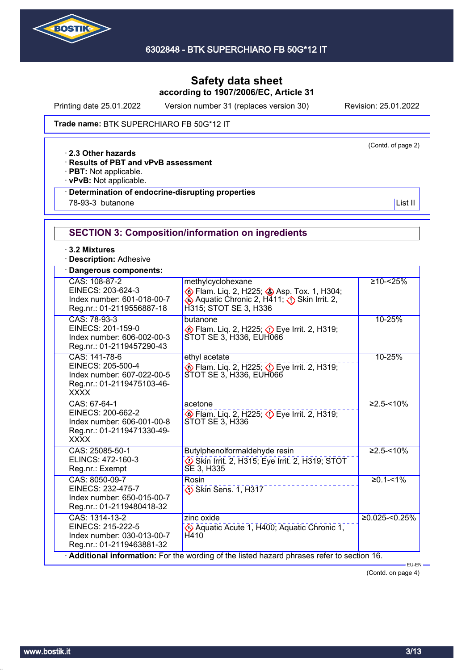

Printing date 25.01.2022 Version number 31 (replaces version 30) Revision: 25.01.2022

(Contd. of page 2)

Trade name: BTK SUPERCHIARO FB 50G\*12 IT

· **2.3 Other hazards**

· **Results of PBT and vPvB assessment**

· **PBT:** Not applicable.

· **vPvB:** Not applicable.

### · **Determination of endocrine-disrupting properties**

<u>78-93-3</u> butanone List II and the List II and the List II and the List II and the List II and the List II and the List II and the List II and the List II and the List II and the List II and the List II and the List II and

# **SECTION 3: Composition/information on ingredients**

· **3.2 Mixtures**

· **Description:** Adhesive

| Dangerous components:                                                                                         |                                                                                                                                     |                   |
|---------------------------------------------------------------------------------------------------------------|-------------------------------------------------------------------------------------------------------------------------------------|-------------------|
| CAS: 108-87-2<br>EINECS: 203-624-3<br>Index number: 601-018-00-7<br>Reg.nr.: 01-2119556887-18                 | methylcyclohexane<br>Flam. Liq. 2, H225; Asp. Tox. 1, H304;<br>♦ Aquatic Chronic 2, H411; ♦ Skin Irrit. 2,<br>H315; STOT SE 3, H336 | $≥10 - < 25%$     |
| CAS: 78-93-3<br>EINECS: 201-159-0<br>Index number: 606-002-00-3<br>Reg.nr.: 01-2119457290-43                  | butanone<br>Flam. Liq. 2, H225; $\Diamond$ Eye Irrit. 2, H319;<br>STOT SE 3, H336, EUH066                                           | 10-25%            |
| CAS: 141-78-6<br>EINECS: 205-500-4<br>Index number: 607-022-00-5<br>Reg.nr.: 01-2119475103-46-<br><b>XXXX</b> | ethyl acetate<br>$\circ$ Flam. Liq. 2, H225; $\circ$ Eye Irrit. 2, H319;<br>STOT SE 3, H336, EUH066                                 | 10-25%            |
| CAS: 67-64-1<br>EINECS: 200-662-2<br>Index number: 606-001-00-8<br>Reg.nr.: 01-2119471330-49-<br><b>XXXX</b>  | acetone<br>Eye Irrit. 2, H225; Deve Irrit. 2, H319;<br>STOT SE 3, H336                                                              | $≥2.5 - < 10%$    |
| CAS: 25085-50-1<br>ELINCS: 472-160-3<br>Reg.nr.: Exempt                                                       | Butylphenolformaldehyde resin<br>Skin Irrit. 2, H315; Eye Irrit. 2, H319; STOT<br>SE 3, H335                                        | $≥2.5 - < 10%$    |
| CAS: 8050-09-7<br>EINECS: 232-475-7<br>Index number: 650-015-00-7<br>Reg.nr.: 01-2119480418-32                | Rosin<br>Skin Sens. 1, H317                                                                                                         | $≥0.1 - 51%$      |
| CAS: 1314-13-2<br>EINECS: 215-222-5<br>Index number: 030-013-00-7<br>Reg.nr.: 01-2119463881-32                | zinc oxide<br>Aquatic Acute 1, H400; Aquatic Chronic 1,<br>H410                                                                     | $≥0.025 < 0.25\%$ |
|                                                                                                               | Additional information: For the wording of the listed hazard phrases refer to section 16.                                           | EU-EN-            |

(Contd. on page 4)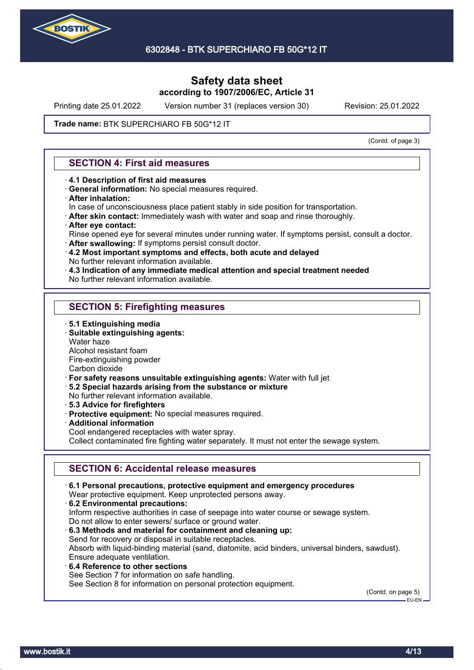

Printing date 25.01.2022 Version number 31 (replaces version 30) Revision: 25.01.2022

#### Trade name: BTK SUPERCHIARO FB 50G\*12 IT

(Contd. of page 3)

### **SECTION 4: First aid measures**

- · **4.1 Description of first aid measures**
- · **General information:** No special measures required.
- · **After inhalation:**
- In case of unconsciousness place patient stably in side position for transportation.
- · **After skin contact:** Immediately wash with water and soap and rinse thoroughly.
- · **After eye contact:**
- Rinse opened eye for several minutes under running water. If symptoms persist, consult a doctor.
- · **After swallowing:** If symptoms persist consult doctor.
- · **4.2 Most important symptoms and effects, both acute and delayed** No further relevant information available.
- · **4.3 Indication of any immediate medical attention and special treatment needed**
- No further relevant information available.

### **SECTION 5: Firefighting measures**

- · **5.1 Extinguishing media**
- · **Suitable extinguishing agents:**
- Water haze
- Alcohol resistant foam
- Fire-extinguishing powder

Carbon dioxide

- · **For safety reasons unsuitable extinguishing agents:** Water with full jet
- · **5.2 Special hazards arising from the substance or mixture**
- No further relevant information available.
- · **5.3 Advice for firefighters**
- · **Protective equipment:** No special measures required.
- · **Additional information**
- Cool endangered receptacles with water spray.

Collect contaminated fire fighting water separately. It must not enter the sewage system.

### **SECTION 6: Accidental release measures**

· **6.1 Personal precautions, protective equipment and emergency procedures** Wear protective equipment. Keep unprotected persons away. · **6.2 Environmental precautions:** Inform respective authorities in case of seepage into water course or sewage system. Do not allow to enter sewers/ surface or ground water. · **6.3 Methods and material for containment and cleaning up:** Send for recovery or disposal in suitable receptacles. Absorb with liquid-binding material (sand, diatomite, acid binders, universal binders, sawdust). Ensure adequate ventilation. · **6.4 Reference to other sections** See Section 7 for information on safe handling. See Section 8 for information on personal protection equipment.

(Contd. on page 5) EU-EN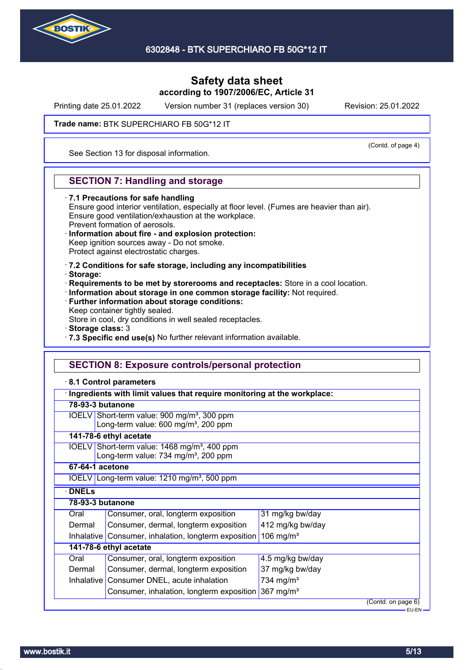

Printing date 25.01.2022 Version number 31 (replaces version 30) Revision: 25.01.2022

(Contd. of page 4)

Trade name: BTK SUPERCHIARO FB 50G\*12 IT

See Section 13 for disposal information.

## **SECTION 7: Handling and storage**

#### · **7.1 Precautions for safe handling**

Ensure good interior ventilation, especially at floor level. (Fumes are heavier than air). Ensure good ventilation/exhaustion at the workplace. Prevent formation of aerosols.

#### · **Information about fire - and explosion protection:** Keep ignition sources away - Do not smoke.

Protect against electrostatic charges.

- · **7.2 Conditions for safe storage, including any incompatibilities**
- · **Storage:**
- · **Requirements to be met by storerooms and receptacles:** Store in a cool location.
- · **Information about storage in one common storage facility:** Not required.
- · **Further information about storage conditions:**

Keep container tightly sealed.

Store in cool, dry conditions in well sealed receptacles.

- · **Storage class:** 3
- · **7.3 Specific end use(s)** No further relevant information available.

### **SECTION 8: Exposure controls/personal protection**

#### · **8.1 Control parameters**

|                  | Ingredients with limit values that require monitoring at the workplace:                                      |                       |  |  |
|------------------|--------------------------------------------------------------------------------------------------------------|-----------------------|--|--|
| 78-93-3 butanone |                                                                                                              |                       |  |  |
|                  | IOELV Short-term value: 900 mg/m <sup>3</sup> , 300 ppm<br>Long-term value: 600 mg/m <sup>3</sup> , 200 ppm  |                       |  |  |
|                  | 141-78-6 ethyl acetate                                                                                       |                       |  |  |
|                  | IOELV Short-term value: 1468 mg/m <sup>3</sup> , 400 ppm<br>Long-term value: 734 mg/m <sup>3</sup> , 200 ppm |                       |  |  |
| 67-64-1 acetone  |                                                                                                              |                       |  |  |
|                  | IOELV Long-term value: $1210$ mg/m <sup>3</sup> , 500 ppm                                                    |                       |  |  |
| <b>DNELS</b>     |                                                                                                              |                       |  |  |
| 78-93-3 butanone |                                                                                                              |                       |  |  |
| Oral             | Consumer, oral, longterm exposition                                                                          | 31 mg/kg bw/day       |  |  |
| Dermal           | Consumer, dermal, longterm exposition<br>412 mg/kg bw/day                                                    |                       |  |  |
|                  | 106 mg/m <sup>3</sup><br>Inhalative Consumer, inhalation, longterm exposition                                |                       |  |  |
|                  | 141-78-6 ethyl acetate                                                                                       |                       |  |  |
| Oral             | Consumer, oral, longterm exposition                                                                          | 4.5 mg/kg bw/day      |  |  |
| Dermal           | Consumer, dermal, longterm exposition<br>37 mg/kg bw/day                                                     |                       |  |  |
|                  | Inhalative Consumer DNEL, acute inhalation                                                                   | 734 mg/m <sup>3</sup> |  |  |
|                  | 367 mg/ $m3$<br>Consumer, inhalation, longterm exposition                                                    |                       |  |  |
|                  |                                                                                                              | (Contd. on page 6)    |  |  |
|                  |                                                                                                              | EU-EN-                |  |  |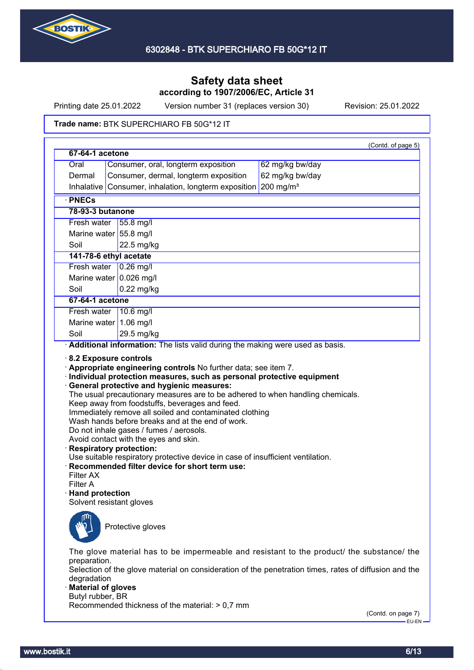

Printing date 25.01.2022 Version number 31 (replaces version 30) Revision: 25.01.2022

#### Trade name: BTK SUPERCHIARO FB 50G\*12 IT

| 67-64-1 acetone                                              |                                                                                                                                                                                                                                                                                                            | (Contd. of page 5)                                                                                                                                                                                 |
|--------------------------------------------------------------|------------------------------------------------------------------------------------------------------------------------------------------------------------------------------------------------------------------------------------------------------------------------------------------------------------|----------------------------------------------------------------------------------------------------------------------------------------------------------------------------------------------------|
| Oral                                                         | Consumer, oral, longterm exposition                                                                                                                                                                                                                                                                        | 62 mg/kg bw/day                                                                                                                                                                                    |
| Dermal                                                       | Consumer, dermal, longterm exposition                                                                                                                                                                                                                                                                      | 62 mg/kg bw/day                                                                                                                                                                                    |
|                                                              | Inhalative Consumer, inhalation, longterm exposition                                                                                                                                                                                                                                                       | $200$ mg/m <sup>3</sup>                                                                                                                                                                            |
| · PNECs                                                      |                                                                                                                                                                                                                                                                                                            |                                                                                                                                                                                                    |
| 78-93-3 butanone                                             |                                                                                                                                                                                                                                                                                                            |                                                                                                                                                                                                    |
| Fresh water                                                  | 55.8 mg/l                                                                                                                                                                                                                                                                                                  |                                                                                                                                                                                                    |
|                                                              | Marine water 55.8 mg/l                                                                                                                                                                                                                                                                                     |                                                                                                                                                                                                    |
| Soil                                                         | 22.5 mg/kg                                                                                                                                                                                                                                                                                                 |                                                                                                                                                                                                    |
|                                                              | 141-78-6 ethyl acetate                                                                                                                                                                                                                                                                                     |                                                                                                                                                                                                    |
|                                                              | Fresh water $\sqrt{0.26}$ mg/l                                                                                                                                                                                                                                                                             |                                                                                                                                                                                                    |
|                                                              | Marine water $0.026$ mg/l                                                                                                                                                                                                                                                                                  |                                                                                                                                                                                                    |
| Soil                                                         | $0.22$ mg/kg                                                                                                                                                                                                                                                                                               |                                                                                                                                                                                                    |
| 67-64-1 acetone                                              |                                                                                                                                                                                                                                                                                                            |                                                                                                                                                                                                    |
| Fresh water                                                  | 10.6 mg/l                                                                                                                                                                                                                                                                                                  |                                                                                                                                                                                                    |
|                                                              | Marine water 1.06 mg/l                                                                                                                                                                                                                                                                                     |                                                                                                                                                                                                    |
| Soil                                                         | 29.5 mg/kg                                                                                                                                                                                                                                                                                                 |                                                                                                                                                                                                    |
| Filter AX<br>Filter A<br>$\cdot$ Hand protection             | Wash hands before breaks and at the end of work.<br>Do not inhale gases / fumes / aerosols.<br>Avoid contact with the eyes and skin.<br><b>Respiratory protection:</b><br>Use suitable respiratory protective device in case of insufficient ventilation.<br>Recommended filter device for short term use: |                                                                                                                                                                                                    |
| preparation.                                                 | Solvent resistant gloves<br>Protective gloves                                                                                                                                                                                                                                                              | The glove material has to be impermeable and resistant to the product/ the substance/ the<br>Selection of the glove material on consideration of the penetration times, rates of diffusion and the |
| degradation<br><b>Material of gloves</b><br>Butyl rubber, BR |                                                                                                                                                                                                                                                                                                            |                                                                                                                                                                                                    |

(Contd. on page 7)  $-EU-EN-$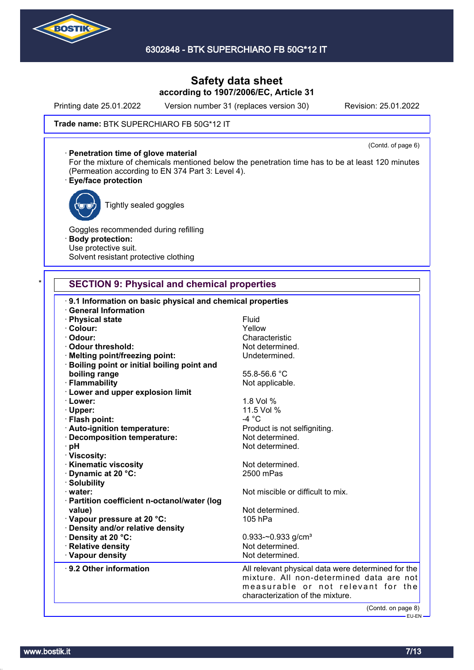

Printing date 25.01.2022 Version number 31 (replaces version 30) Revision: 25.01.2022

(Contd. of page 6)

#### Trade name: BTK SUPERCHIARO FB 50G\*12 IT

· **Penetration time of glove material**

For the mixture of chemicals mentioned below the penetration time has to be at least 120 minutes (Permeation according to EN 374 Part 3: Level 4).

#### · **Eye/face protection**



Tightly sealed goggles

Goggles recommended during refilling · **Body protection:** Use protective suit. Solvent resistant protective clothing

### **SECTION 9: Physical and chemical properties**

| 9.1 Information on basic physical and chemical properties<br><b>General Information</b> |                                                                                                                                                                          |
|-----------------------------------------------------------------------------------------|--------------------------------------------------------------------------------------------------------------------------------------------------------------------------|
| · Physical state                                                                        | Fluid                                                                                                                                                                    |
| · Colour:                                                                               | Yellow                                                                                                                                                                   |
| · Odour:                                                                                | Characteristic                                                                                                                                                           |
| Odour threshold:                                                                        | Not determined.                                                                                                                                                          |
| · Melting point/freezing point:                                                         | Undetermined.                                                                                                                                                            |
| · Boiling point or initial boiling point and                                            |                                                                                                                                                                          |
| boiling range                                                                           | 55.8-56.6 °C                                                                                                                                                             |
| · Flammability                                                                          | Not applicable.                                                                                                                                                          |
| · Lower and upper explosion limit                                                       |                                                                                                                                                                          |
| · Lower:                                                                                | 1.8 Vol %                                                                                                                                                                |
| · Upper:                                                                                | 11.5 Vol %                                                                                                                                                               |
| · Flash point:                                                                          | $-4 °C$                                                                                                                                                                  |
| · Auto-ignition temperature:                                                            | Product is not selfigniting.                                                                                                                                             |
| Decomposition temperature:                                                              | Not determined.                                                                                                                                                          |
| · pH                                                                                    | Not determined.                                                                                                                                                          |
| · Viscosity:                                                                            |                                                                                                                                                                          |
| <b>Kinematic viscosity</b>                                                              | Not determined.                                                                                                                                                          |
| Dynamic at 20 °C:                                                                       | 2500 mPas                                                                                                                                                                |
| · Solubility                                                                            |                                                                                                                                                                          |
| $\cdot$ water:                                                                          | Not miscible or difficult to mix.                                                                                                                                        |
| · Partition coefficient n-octanol/water (log                                            |                                                                                                                                                                          |
| value)                                                                                  | Not determined.                                                                                                                                                          |
| Vapour pressure at 20 °C:                                                               | 105 hPa                                                                                                                                                                  |
| · Density and/or relative density                                                       |                                                                                                                                                                          |
| · Density at 20 °C:                                                                     | 0.933-~0.933 g/cm <sup>3</sup>                                                                                                                                           |
| · Relative density                                                                      | Not determined.                                                                                                                                                          |
| · Vapour density                                                                        | Not determined.                                                                                                                                                          |
|                                                                                         |                                                                                                                                                                          |
| ⋅ 9.2 Other information                                                                 | All relevant physical data were determined for the<br>mixture. All non-determined data are not<br>measurable or not relevant for the<br>characterization of the mixture. |
|                                                                                         | (Contd. on page 8)                                                                                                                                                       |
|                                                                                         | <b>EU-EN-</b>                                                                                                                                                            |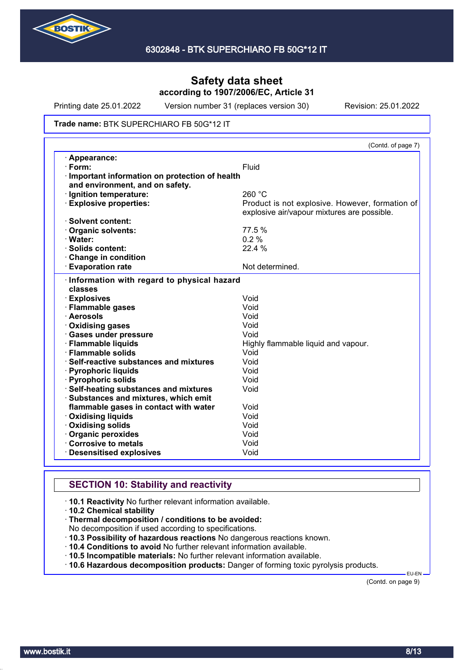

Printing date 25.01.2022 Version number 31 (replaces version 30) Revision: 25.01.2022

#### Trade name: BTK SUPERCHIARO FB 50G\*12 IT

|                                                         | (Contd. of page 7)                              |
|---------------------------------------------------------|-------------------------------------------------|
| · Appearance:                                           |                                                 |
| $\cdot$ Form:                                           | Fluid                                           |
| Important information on protection of health           |                                                 |
| and environment, and on safety.                         |                                                 |
| · Ignition temperature:                                 | 260 °C                                          |
| <b>Explosive properties:</b>                            | Product is not explosive. However, formation of |
|                                                         | explosive air/vapour mixtures are possible.     |
| · Solvent content:                                      |                                                 |
| Organic solvents:                                       | 77.5 %                                          |
| · Water:                                                | 0.2%                                            |
| · Solids content:                                       | 22.4 %                                          |
| Change in condition                                     |                                                 |
| <b>Evaporation rate</b>                                 | Not determined.                                 |
| · Flammable gases                                       | Void                                            |
| · Information with regard to physical hazard<br>classes |                                                 |
|                                                         |                                                 |
| · Aerosols                                              | Void                                            |
| Oxidising gases                                         | Void                                            |
| · Gases under pressure                                  | Void                                            |
| · Flammable liquids                                     | Highly flammable liquid and vapour.             |
| · Flammable solids                                      | Void                                            |
| ⋅ Self-reactive substances and mixtures                 | Void                                            |
| · Pyrophoric liquids                                    | Void                                            |
| · Pyrophoric solids                                     | Void                                            |
| <b>Self-heating substances and mixtures</b>             | Void                                            |
| Substances and mixtures, which emit                     |                                                 |
| flammable gases in contact with water                   | Void                                            |
| · Oxidising liquids                                     | Void                                            |
| Oxidising solids                                        | Void                                            |
| Organic peroxides                                       | Void                                            |
|                                                         |                                                 |
| Corrosive to metals                                     | Void                                            |

### **SECTION 10: Stability and reactivity**

- · **10.1 Reactivity** No further relevant information available.
- · **10.2 Chemical stability**
- · **Thermal decomposition / conditions to be avoided:**

No decomposition if used according to specifications.

- · **10.3 Possibility of hazardous reactions** No dangerous reactions known.
- · **10.4 Conditions to avoid** No further relevant information available.
- · **10.5 Incompatible materials:** No further relevant information available.
- · **10.6 Hazardous decomposition products:** Danger of forming toxic pyrolysis products.

(Contd. on page 9)

EU-EN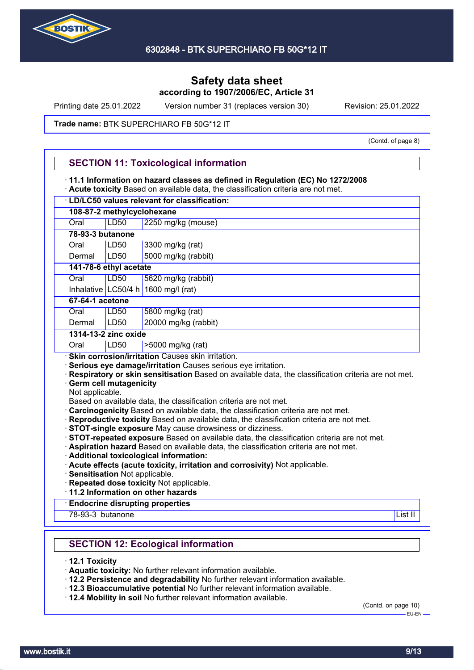

Printing date 25.01.2022 Version number 31 (replaces version 30) Revision: 25.01.2022

#### Trade name: BTK SUPERCHIARO FB 50G\*12 IT

(Contd. of page 8)

|                  |                               | · LD/LC50 values relevant for classification:                                                                                                                                                                                                                                                                                                                                                                                                                                           |
|------------------|-------------------------------|-----------------------------------------------------------------------------------------------------------------------------------------------------------------------------------------------------------------------------------------------------------------------------------------------------------------------------------------------------------------------------------------------------------------------------------------------------------------------------------------|
|                  | 108-87-2 methylcyclohexane    |                                                                                                                                                                                                                                                                                                                                                                                                                                                                                         |
| Oral             | LD50                          | 2250 mg/kg (mouse)                                                                                                                                                                                                                                                                                                                                                                                                                                                                      |
| 78-93-3 butanone |                               |                                                                                                                                                                                                                                                                                                                                                                                                                                                                                         |
| Oral             | <b>LD50</b>                   | 3300 mg/kg (rat)                                                                                                                                                                                                                                                                                                                                                                                                                                                                        |
| Dermal           | LD50                          | 5000 mg/kg (rabbit)                                                                                                                                                                                                                                                                                                                                                                                                                                                                     |
|                  | 141-78-6 ethyl acetate        |                                                                                                                                                                                                                                                                                                                                                                                                                                                                                         |
| Oral             | <b>LD50</b>                   | 5620 mg/kg (rabbit)                                                                                                                                                                                                                                                                                                                                                                                                                                                                     |
|                  |                               | Inhalative LC50/4 h 1600 mg/l (rat)                                                                                                                                                                                                                                                                                                                                                                                                                                                     |
| 67-64-1 acetone  |                               |                                                                                                                                                                                                                                                                                                                                                                                                                                                                                         |
| Oral             | LD <sub>50</sub>              | 5800 mg/kg (rat)                                                                                                                                                                                                                                                                                                                                                                                                                                                                        |
| Dermal           | LD50                          | 20000 mg/kg (rabbit)                                                                                                                                                                                                                                                                                                                                                                                                                                                                    |
|                  | 1314-13-2 zinc oxide          |                                                                                                                                                                                                                                                                                                                                                                                                                                                                                         |
| Oral             | LD50                          | >5000 mg/kg (rat)                                                                                                                                                                                                                                                                                                                                                                                                                                                                       |
| Not applicable.  | <b>Germ cell mutagenicity</b> | Serious eye damage/irritation Causes serious eye irritation.<br>Respiratory or skin sensitisation Based on available data, the classification criteria are not met.<br>Based on available data, the classification criteria are not met.<br>Carcinogenicity Based on available data, the classification criteria are not met.<br>· Reproductive toxicity Based on available data, the classification criteria are not met.<br>· STOT-single exposure May cause drowsiness or dizziness. |
|                  | Sensitisation Not applicable. | STOT-repeated exposure Based on available data, the classification criteria are not met.<br>· Aspiration hazard Based on available data, the classification criteria are not met.<br>· Additional toxicological information:<br>· Acute effects (acute toxicity, irritation and corrosivity) Not applicable.<br>· Repeated dose toxicity Not applicable.                                                                                                                                |
|                  |                               | 11.2 Information on other hazards                                                                                                                                                                                                                                                                                                                                                                                                                                                       |
| 78-93-3 butanone |                               | <b>Endocrine disrupting properties</b><br>List II                                                                                                                                                                                                                                                                                                                                                                                                                                       |
|                  |                               | <b>SECTION 12: Ecological information</b>                                                                                                                                                                                                                                                                                                                                                                                                                                               |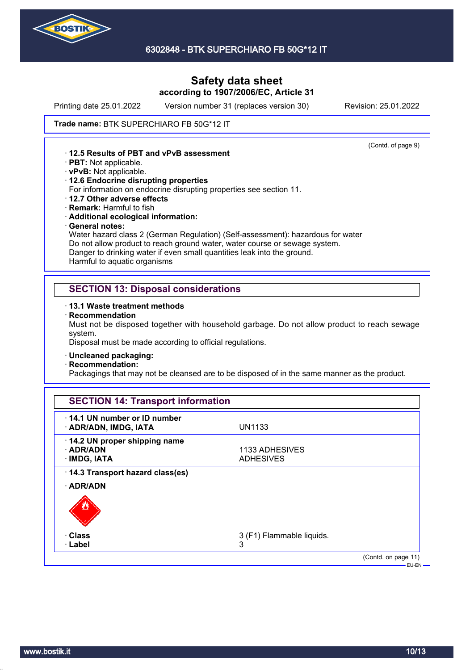

Printing date 25.01.2022 Version number 31 (replaces version 30) Revision: 25.01.2022

(Contd. of page 9)

#### Trade name: BTK SUPERCHIARO FB 50G\*12 IT

· **12.5 Results of PBT and vPvB assessment**

- · **PBT:** Not applicable.
- · **vPvB:** Not applicable.
- · **12.6 Endocrine disrupting properties**

For information on endocrine disrupting properties see section 11.

- · **12.7 Other adverse effects**
- · **Remark:** Harmful to fish
- · **Additional ecological information:**
- · **General notes:**

Water hazard class 2 (German Regulation) (Self-assessment): hazardous for water Do not allow product to reach ground water, water course or sewage system. Danger to drinking water if even small quantities leak into the ground. Harmful to aquatic organisms

### **SECTION 13: Disposal considerations**

- · **13.1 Waste treatment methods**
- · **Recommendation**

Must not be disposed together with household garbage. Do not allow product to reach sewage system.

Disposal must be made according to official regulations.

- · **Uncleaned packaging:**
- · **Recommendation:**

Packagings that may not be cleansed are to be disposed of in the same manner as the product.

| 14.1 UN number or ID number<br>· ADR/ADN, IMDG, IATA            | UN1133                             |  |
|-----------------------------------------------------------------|------------------------------------|--|
| 14.2 UN proper shipping name<br>$\cdot$ ADR/ADN<br>· IMDG, IATA | 1133 ADHESIVES<br><b>ADHESIVES</b> |  |
| 14.3 Transport hazard class(es)<br>· ADR/ADN                    |                                    |  |
| · Class<br>$\cdot$ Label                                        | 3 (F1) Flammable liquids.<br>3     |  |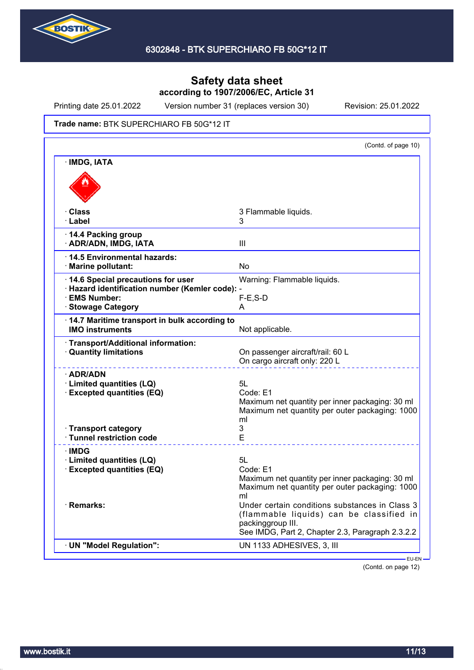

Printing date 25.01.2022 Version number 31 (replaces version 30) Revision: 25.01.2022

Trade name: BTK SUPERCHIARO FB 50G\*12 IT

|                                                                                             | (Contd. of page 10)                                                                                                                                                       |
|---------------------------------------------------------------------------------------------|---------------------------------------------------------------------------------------------------------------------------------------------------------------------------|
| · IMDG, IATA                                                                                |                                                                                                                                                                           |
|                                                                                             |                                                                                                                                                                           |
| <b>Class</b><br>· Label                                                                     | 3 Flammable liquids.<br>3                                                                                                                                                 |
| 14.4 Packing group<br>· ADR/ADN, IMDG, IATA                                                 | Ш                                                                                                                                                                         |
| · 14.5 Environmental hazards:<br>· Marine pollutant:                                        | No                                                                                                                                                                        |
| 14.6 Special precautions for user                                                           | Warning: Flammable liquids.                                                                                                                                               |
| · Hazard identification number (Kemler code): -<br>· EMS Number:<br><b>Stowage Category</b> | $F-E$ , S-D<br>A                                                                                                                                                          |
| 14.7 Maritime transport in bulk according to<br><b>IMO instruments</b>                      | Not applicable.                                                                                                                                                           |
| Transport/Additional information:<br><b>Quantity limitations</b>                            | On passenger aircraft/rail: 60 L<br>On cargo aircraft only: 220 L                                                                                                         |
| · ADR/ADN<br>· Limited quantities (LQ)<br><b>Excepted quantities (EQ)</b>                   | 5L<br>Code: E1<br>Maximum net quantity per inner packaging: 30 ml<br>Maximum net quantity per outer packaging: 1000<br>ml                                                 |
| · Transport category<br>· Tunnel restriction code                                           | 3<br>E                                                                                                                                                                    |
| ·IMDG<br>· Limited quantities (LQ)<br><b>Excepted quantities (EQ)</b>                       | 5L<br>Code: E1<br>Maximum net quantity per inner packaging: 30 ml<br>Maximum net quantity per outer packaging: 1000                                                       |
| · Remarks:                                                                                  | ml<br>Under certain conditions substances in Class 3<br>(flammable liquids) can be classified in<br>packinggroup III.<br>See IMDG, Part 2, Chapter 2.3, Paragraph 2.3.2.2 |
| · UN "Model Regulation":                                                                    | UN 1133 ADHESIVES, 3, III                                                                                                                                                 |

(Contd. on page 12)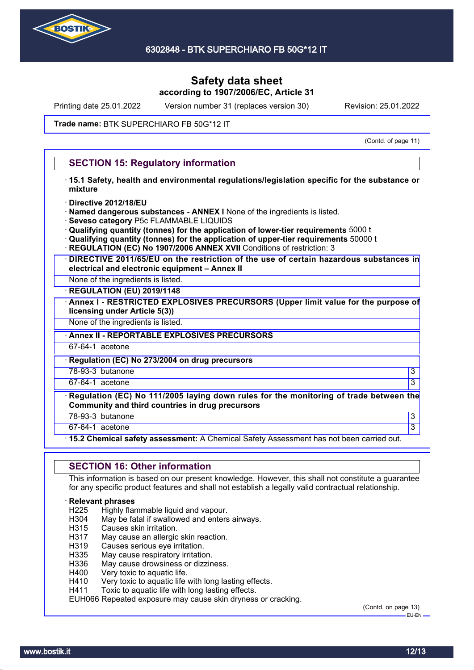

Printing date 25.01.2022 Version number 31 (replaces version 30) Revision: 25.01.2022

#### Trade name: BTK SUPERCHIARO FB 50G\*12 IT

(Contd. of page 11)

### **SECTION 15: Regulatory information**

- · **15.1 Safety, health and environmental regulations/legislation specific for the substance or mixture**
- · **Directive 2012/18/EU**
- · **Named dangerous substances ANNEX I** None of the ingredients is listed.
- · **Seveso category** P5c FLAMMABLE LIQUIDS
- · **Qualifying quantity (tonnes) for the application of lower-tier requirements** 5000 t
- · **Qualifying quantity (tonnes) for the application of upper-tier requirements** 50000 t
- **REGULATION (EC) No 1907/2006 ANNEX XVII** Conditions of restriction: 3
- · **DIRECTIVE 2011/65/EU on the restriction of the use of certain hazardous substances in electrical and electronic equipment – Annex II**
- None of the ingredients is listed.
- · **REGULATION (EU) 2019/1148**
- · **Annex I RESTRICTED EXPLOSIVES PRECURSORS (Upper limit value for the purpose of licensing under Article 5(3))**

None of the ingredients is listed.

· **Annex II - REPORTABLE EXPLOSIVES PRECURSORS**

67-64-1 acetone

· **Regulation (EC) No 273/2004 on drug precursors**

78-93-3 butanone 3

 $67-64-1$  acetone  $\hspace{1.5cm}$  3

· **Regulation (EC) No 111/2005 laying down rules for the monitoring of trade between the Community and third countries in drug precursors**

78-93-3 butanone 3

67-64-1 acetone 3

· **15.2 Chemical safety assessment:** A Chemical Safety Assessment has not been carried out.

#### **SECTION 16: Other information**

This information is based on our present knowledge. However, this shall not constitute a guarantee for any specific product features and shall not establish a legally valid contractual relationship.

#### · **Relevant phrases**

- H225 Highly flammable liquid and vapour.<br>H304 May be fatal if swallowed and enters
- H304 May be fatal if swallowed and enters airways.<br>H315 Causes skin irritation.
- Causes skin irritation.
- H317 May cause an allergic skin reaction.
- H319 Causes serious eye irritation.
- H335 May cause respiratory irritation.
- H336 May cause drowsiness or dizziness.
- H400 Very toxic to aquatic life.
- H410 Very toxic to aquatic life with long lasting effects.
- H411 Toxic to aquatic life with long lasting effects.

EUH066 Repeated exposure may cause skin dryness or cracking.

(Contd. on page 13)